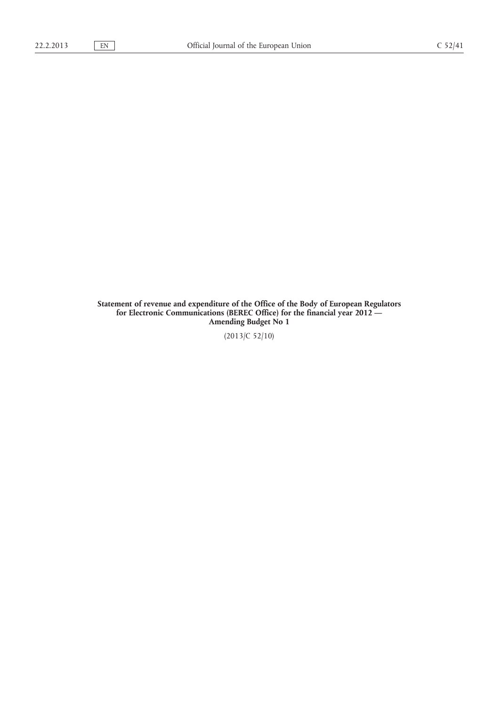**Statement of revenue and expenditure of the Office of the Body of European Regulators for Electronic Communications (BEREC Office) for the financial year 2012 — Amending Budget No 1**

(2013/C 52/10)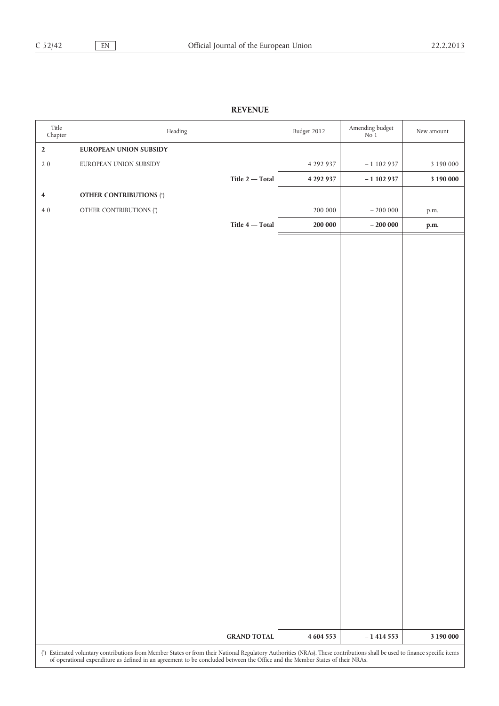## **REVENUE**

| Title<br>${\it Chapter}$                                                                                                                                                                                                                                                                                    | Heading                        | Budget 2012 | Amending budget<br>No <sub>1</sub> | New amount |  |
|-------------------------------------------------------------------------------------------------------------------------------------------------------------------------------------------------------------------------------------------------------------------------------------------------------------|--------------------------------|-------------|------------------------------------|------------|--|
| $\mathbf 2$                                                                                                                                                                                                                                                                                                 | EUROPEAN UNION SUBSIDY         |             |                                    |            |  |
| $2\ 0$                                                                                                                                                                                                                                                                                                      | EUROPEAN UNION SUBSIDY         | 4 292 937   | $-1102937$                         | 3 190 000  |  |
|                                                                                                                                                                                                                                                                                                             | Title $2$ - Total              | 4 292 937   | $-1$ 102 937                       | 3 190 000  |  |
| $\overline{\mathbf{4}}$                                                                                                                                                                                                                                                                                     | <b>OTHER CONTRIBUTIONS (*)</b> |             |                                    |            |  |
| $4\;0$                                                                                                                                                                                                                                                                                                      | OTHER CONTRIBUTIONS (*)        | $200\;000$  | $-200000$                          | p.m.       |  |
|                                                                                                                                                                                                                                                                                                             | Title $4$ — Total              | 200 000     | $-200000$                          | p.m.       |  |
|                                                                                                                                                                                                                                                                                                             |                                |             |                                    |            |  |
|                                                                                                                                                                                                                                                                                                             |                                |             |                                    |            |  |
|                                                                                                                                                                                                                                                                                                             |                                |             |                                    |            |  |
|                                                                                                                                                                                                                                                                                                             |                                |             |                                    |            |  |
|                                                                                                                                                                                                                                                                                                             |                                |             |                                    |            |  |
|                                                                                                                                                                                                                                                                                                             |                                |             |                                    |            |  |
|                                                                                                                                                                                                                                                                                                             |                                |             |                                    |            |  |
|                                                                                                                                                                                                                                                                                                             |                                |             |                                    |            |  |
|                                                                                                                                                                                                                                                                                                             |                                |             |                                    |            |  |
|                                                                                                                                                                                                                                                                                                             |                                |             |                                    |            |  |
|                                                                                                                                                                                                                                                                                                             |                                |             |                                    |            |  |
|                                                                                                                                                                                                                                                                                                             |                                |             |                                    |            |  |
|                                                                                                                                                                                                                                                                                                             |                                |             |                                    |            |  |
|                                                                                                                                                                                                                                                                                                             |                                |             |                                    |            |  |
|                                                                                                                                                                                                                                                                                                             |                                |             |                                    |            |  |
|                                                                                                                                                                                                                                                                                                             |                                |             |                                    |            |  |
|                                                                                                                                                                                                                                                                                                             |                                |             |                                    |            |  |
|                                                                                                                                                                                                                                                                                                             |                                |             |                                    |            |  |
|                                                                                                                                                                                                                                                                                                             |                                |             |                                    |            |  |
|                                                                                                                                                                                                                                                                                                             |                                |             |                                    |            |  |
|                                                                                                                                                                                                                                                                                                             |                                |             |                                    |            |  |
|                                                                                                                                                                                                                                                                                                             |                                |             |                                    |            |  |
|                                                                                                                                                                                                                                                                                                             |                                |             |                                    |            |  |
|                                                                                                                                                                                                                                                                                                             |                                |             |                                    |            |  |
|                                                                                                                                                                                                                                                                                                             |                                |             |                                    |            |  |
|                                                                                                                                                                                                                                                                                                             |                                |             |                                    |            |  |
|                                                                                                                                                                                                                                                                                                             |                                |             |                                    |            |  |
|                                                                                                                                                                                                                                                                                                             | <b>GRAND TOTAL</b>             | 4 604 553   | $-1414553$                         | 3 190 000  |  |
| (*) Estimated voluntary contributions from Member States or from their National Regulatory Authorities (NRAs). These contributions shall be used to finance specific items<br>of operational expenditure as defined in an agreement to be concluded between the Office and the Member States of their NRAs. |                                |             |                                    |            |  |